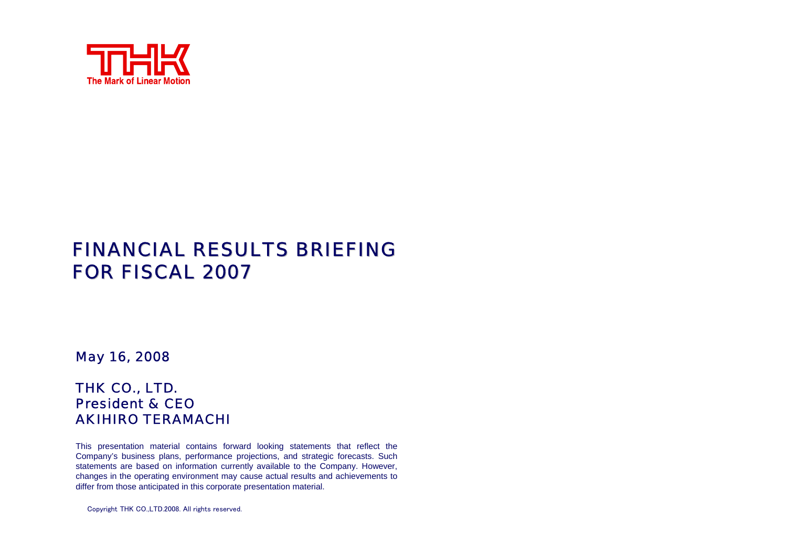

## **FINANCIAL RESULTS BRIEFING** FOR FISCAL 2007

#### May 16, 2008

#### THK CO., LTD. President & CEOAKIHIRO TERAMACHI

This presentation material contains forward looking statements that reflect the Company's business plans, performance projections, and strategic forecasts. Such statements are based on information currently available to the Company. However, changes in the operating environment may cause actual results and achievements to differ from those anticipated in this corporate presentation material.

Copyright THK CO.,LTD.2008. All rights reserved.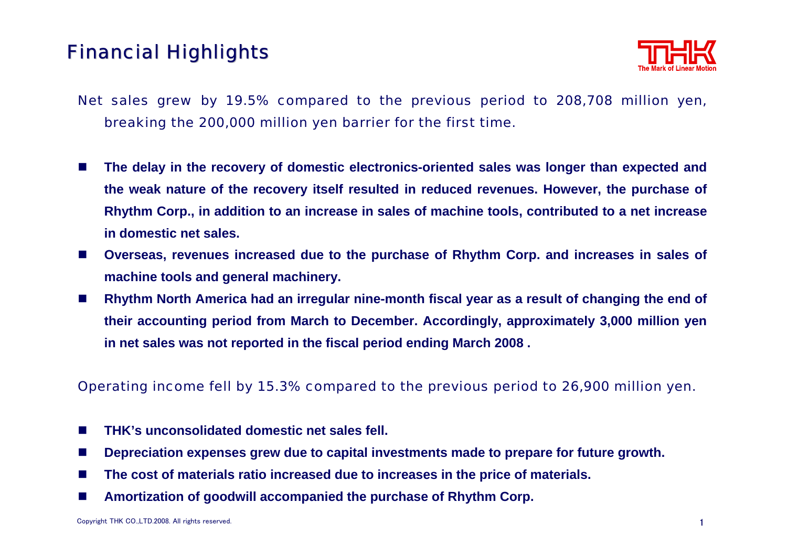# **Financial Highlights**



- Net sales grew by 19.5% compared to the previous period to 208,708 million yen, breaking the 200,000 million yen barrier for the first time.
- $\mathcal{L}_{\text{max}}$  **The delay in the recovery of domestic electronics-oriented sales was longer than expected and the weak nature of the recovery itself resulted in reduced revenues. However, the purchase of Rhythm Corp., in addition to an increase in sales of machine tools, contributed to a net increase in domestic net sales.**
- $\mathcal{L}_{\mathcal{A}}$  **Overseas, revenues increased due to the purchase of Rhythm Corp. and increases in sales of machine tools and general machinery.**
- $\mathcal{C}^{\mathcal{A}}$  **Rhythm North America had an irregular nine-month fiscal year as a result of changing the end of their accounting period from March to December. Accordingly, approximately 3,000 million yen in net sales was not reported in the fiscal period ending March 2008 .**

#### Operating income fell by 15.3% compared to the previous period to 26,900 million yen.

- **College THK's unconsolidated domestic net sales fell.**
- ш **Depreciation expenses grew due to capital investments made to prepare for future growth.**
- ш **The cost of materials ratio increased due to increases in the price of materials.**
- $\mathcal{L}_{\text{max}}$ **Amortization of goodwill accompanied the purchase of Rhythm Corp.**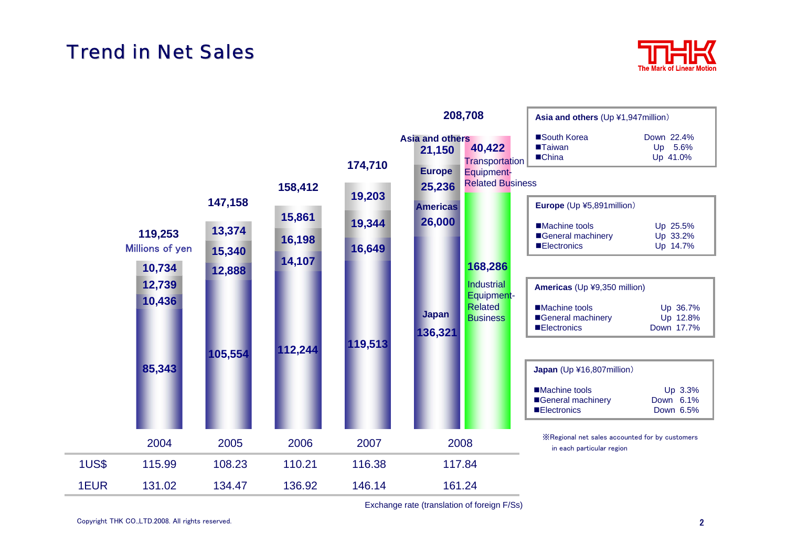# **Trend in Net Sales**





Exchange rate (translation of foreign F/Ss)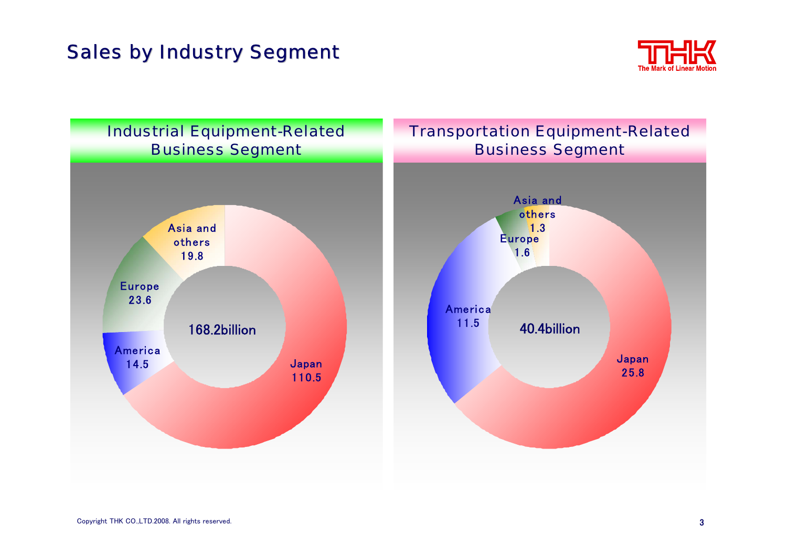# **Sales by Industry Segment**



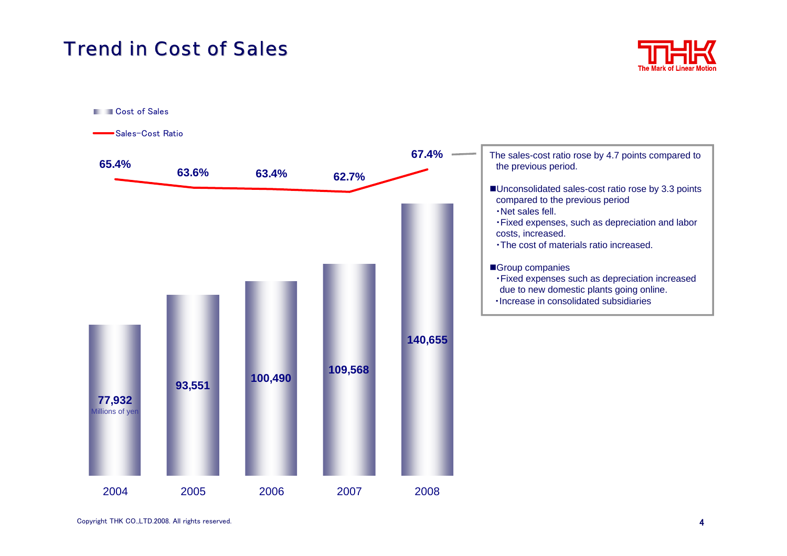### **Trend in Cost of Sales**



**Cost of Sales** 

Sales-Cost Ratio

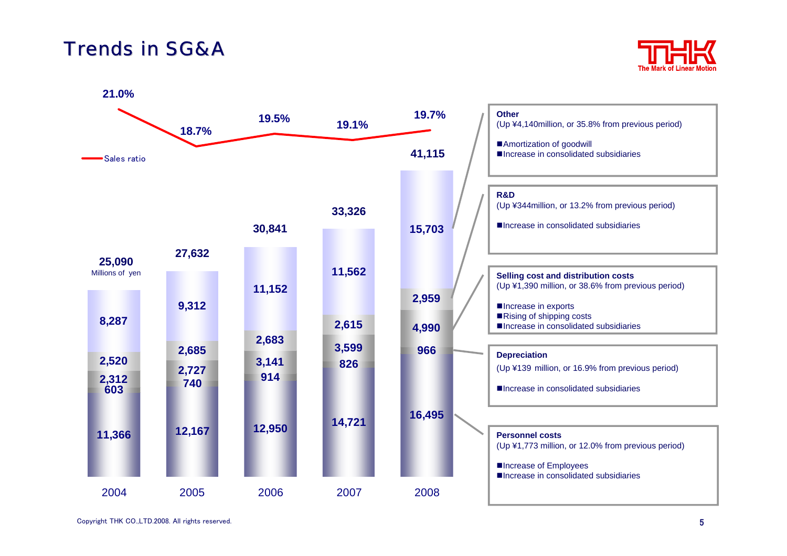### Trends in SG&A



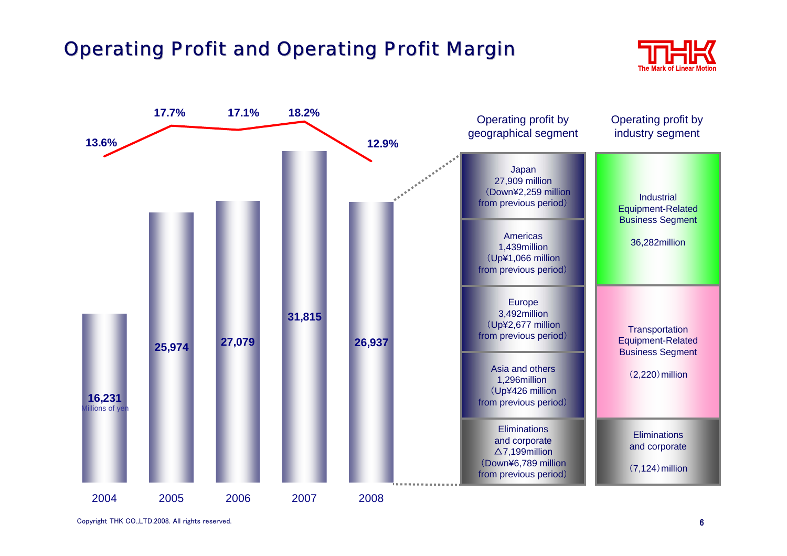# **Operating Profit and Operating Profit Margin**



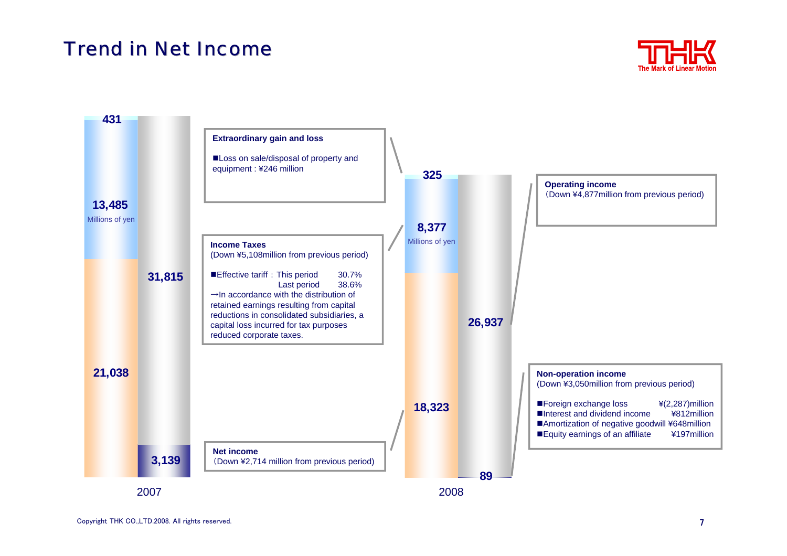## Trend in Net Income



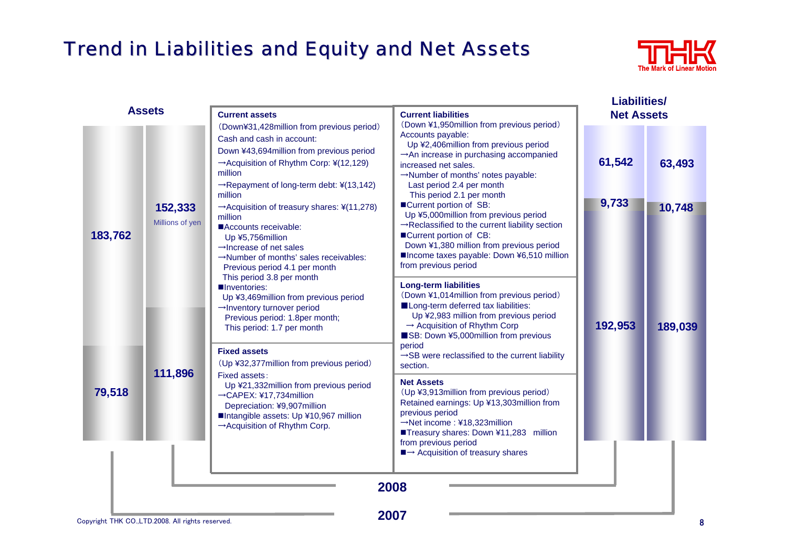# Trend in Liabilities and Equity and Net Assets



| <b>Assets</b> |                            | <b>Current assets</b>                                                                                                                                                                                                                                                                                                                                                                                                                                                                       | <b>Current liabilities</b>                                                                                                                                                                                                                                                                                                                                                                                                                                                                                                                              | <b>Liabilities/</b><br><b>Net Assets</b> |         |
|---------------|----------------------------|---------------------------------------------------------------------------------------------------------------------------------------------------------------------------------------------------------------------------------------------------------------------------------------------------------------------------------------------------------------------------------------------------------------------------------------------------------------------------------------------|---------------------------------------------------------------------------------------------------------------------------------------------------------------------------------------------------------------------------------------------------------------------------------------------------------------------------------------------------------------------------------------------------------------------------------------------------------------------------------------------------------------------------------------------------------|------------------------------------------|---------|
| 183,762       | 152,333<br>Millions of yen | (Down¥31,428million from previous period)<br>Cash and cash in account:<br>Down ¥43,694 million from previous period<br>$\rightarrow$ Acquisition of Rhythm Corp: ¥(12,129)<br>million<br>$\rightarrow$ Repayment of long-term debt: ¥(13,142)<br>million<br>$\rightarrow$ Acquisition of treasury shares: ¥(11,278)<br>million<br>Accounts receivable:<br>Up ¥5,756million<br>$\rightarrow$ Increase of net sales<br>→Number of months' sales receivables:<br>Previous period 4.1 per month | (Down ¥1,950million from previous period)<br>Accounts payable:<br>Up ¥2,406million from previous period<br>An increase in purchasing accompanied<br>increased net sales.<br>→Number of months' notes payable:<br>Last period 2.4 per month<br>This period 2.1 per month<br>■Current portion of SB:<br>Up ¥5,000million from previous period<br>$\rightarrow$ Reclassified to the current liability section<br>■Current portion of CB:<br>Down ¥1,380 million from previous period<br>■Income taxes payable: Down ¥6,510 million<br>from previous period | 61,542                                   | 63,493  |
|               |                            |                                                                                                                                                                                                                                                                                                                                                                                                                                                                                             |                                                                                                                                                                                                                                                                                                                                                                                                                                                                                                                                                         | 9,733                                    | 10,748  |
|               |                            | This period 3.8 per month<br>Inventories:<br>Up ¥3,469million from previous period<br>→Inventory turnover period<br>Previous period: 1.8per month;<br>This period: 1.7 per month<br><b>Fixed assets</b><br>(Up ¥32,377 million from previous period)<br>Fixed assets:<br>Up ¥21,332million from previous period<br>→CAPEX: ¥17,734million<br>Depreciation: ¥9,907million<br>■Intangible assets: Up ¥10,967 million<br>$\rightarrow$ Acquisition of Rhythm Corp.                             | <b>Long-term liabilities</b><br>(Down ¥1,014 million from previous period)<br>Long-term deferred tax liabilities:<br>Up ¥2,983 million from previous period<br>$\rightarrow$ Acquisition of Rhythm Corp<br>SB: Down ¥5,000million from previous<br>period<br>$\rightarrow$ SB were reclassified to the current liability<br>section.                                                                                                                                                                                                                    | 192,953                                  | 189,039 |
| 79,518        | 111,896                    |                                                                                                                                                                                                                                                                                                                                                                                                                                                                                             | <b>Net Assets</b><br>(Up ¥3,913million from previous period)<br>Retained earnings: Up ¥13,303million from<br>previous period<br>$\rightarrow$ Net income: ¥18,323million<br>■Treasury shares: Down ¥11,283 million<br>from previous period                                                                                                                                                                                                                                                                                                              |                                          |         |
|               |                            |                                                                                                                                                                                                                                                                                                                                                                                                                                                                                             | $\blacksquare \rightarrow$ Acquisition of treasury shares<br>2008<br>דהמה                                                                                                                                                                                                                                                                                                                                                                                                                                                                               |                                          |         |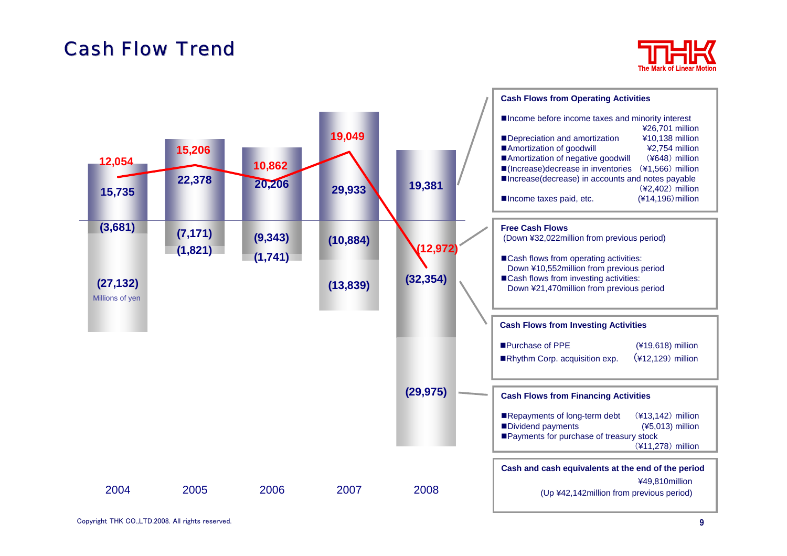# **Cash Flow Trend**



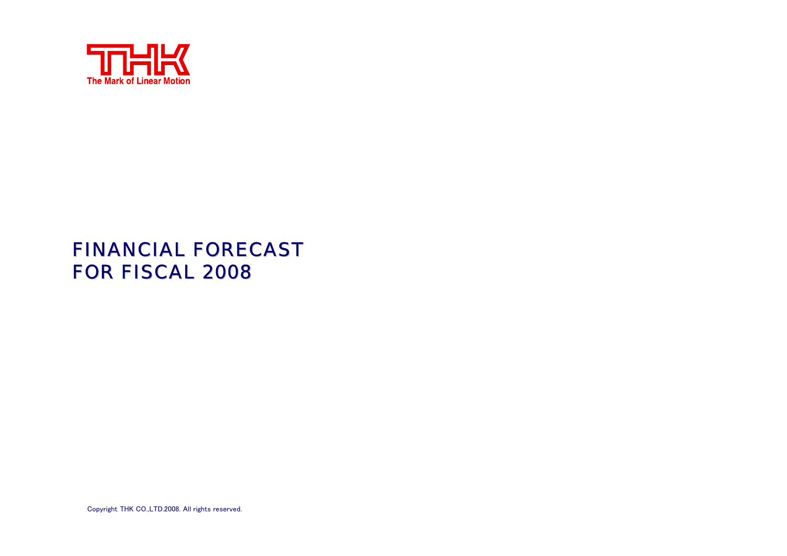

# FINANCIAL FORECAST FOR FISCAL 2008

Copyright THK CO.,LTD.2008. All rights reserved.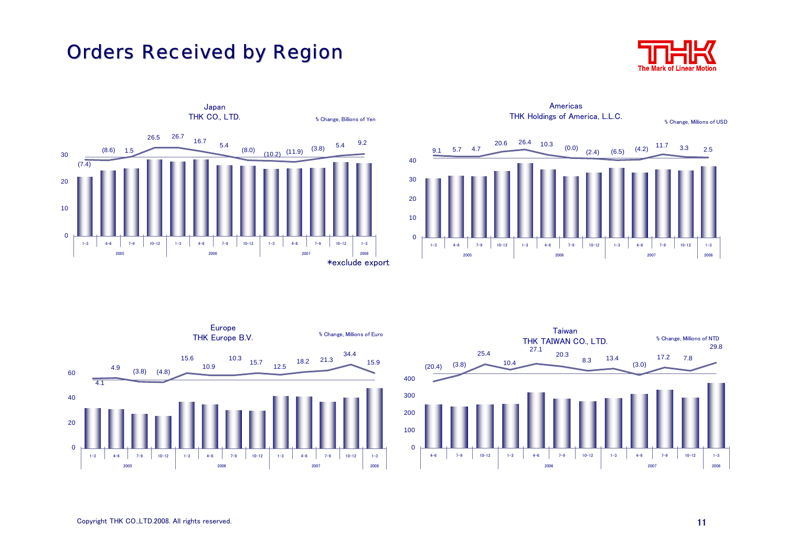# **Orders Received by Region**









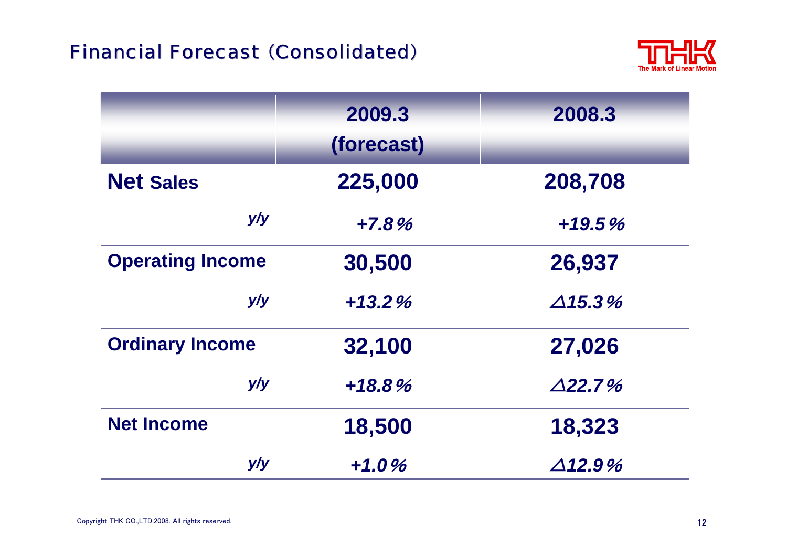# Financial Forecast (Consolidated)



|                         | 2009.3<br>(forecast) | 2008.3            |
|-------------------------|----------------------|-------------------|
| <b>Net Sales</b>        | 225,000              | 208,708           |
| y/y                     | $+7.8%$              | $+19.5%$          |
| <b>Operating Income</b> | 30,500               | 26,937            |
| y/y                     | $+13.2%$             | $\triangle$ 15.3% |
| <b>Ordinary Income</b>  | 32,100               | 27,026            |
| y/y                     | $+18.8%$             | $\triangle$ 22.7% |
| <b>Net Income</b>       | 18,500               | 18,323            |
| y/y                     | $+1.0%$              | $\triangle$ 12.9% |